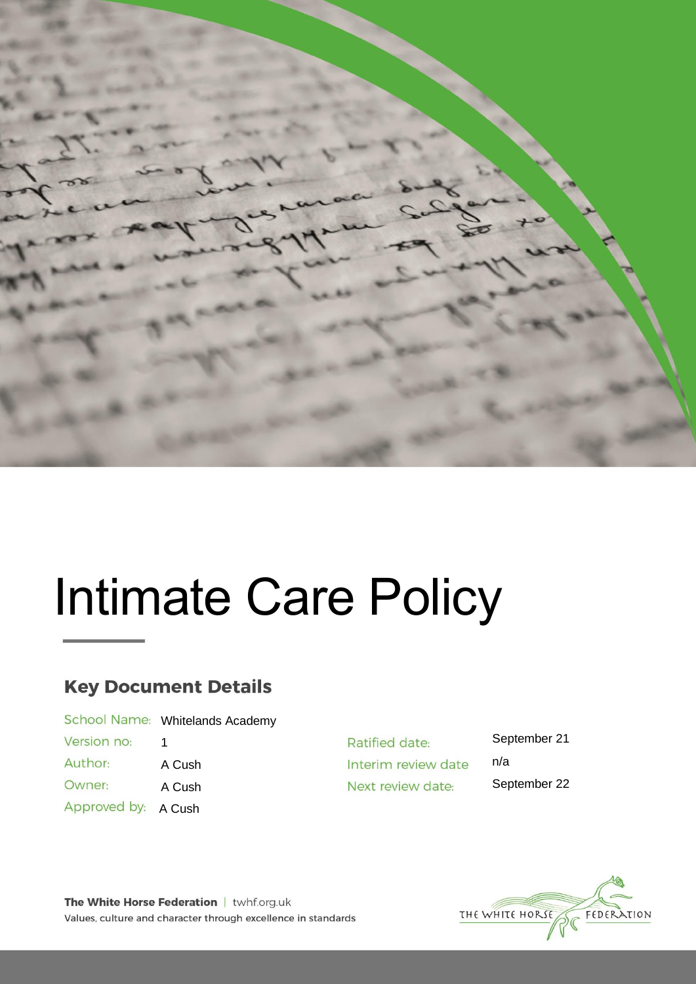

# Intimate Care Policy

## **Key Document Details**

|              | School Name: Whitelands Academy |
|--------------|---------------------------------|
| Version no:  | 1                               |
| Author:      | A Cush                          |
| Owner:       | A Cush                          |
| Approved by: | A Cush                          |
|              |                                 |

Ratified date: Interim review date Next review date:

September 21 n/a September 22



The White Horse Federation | twhf.org.uk Values, culture and character through excellence in standards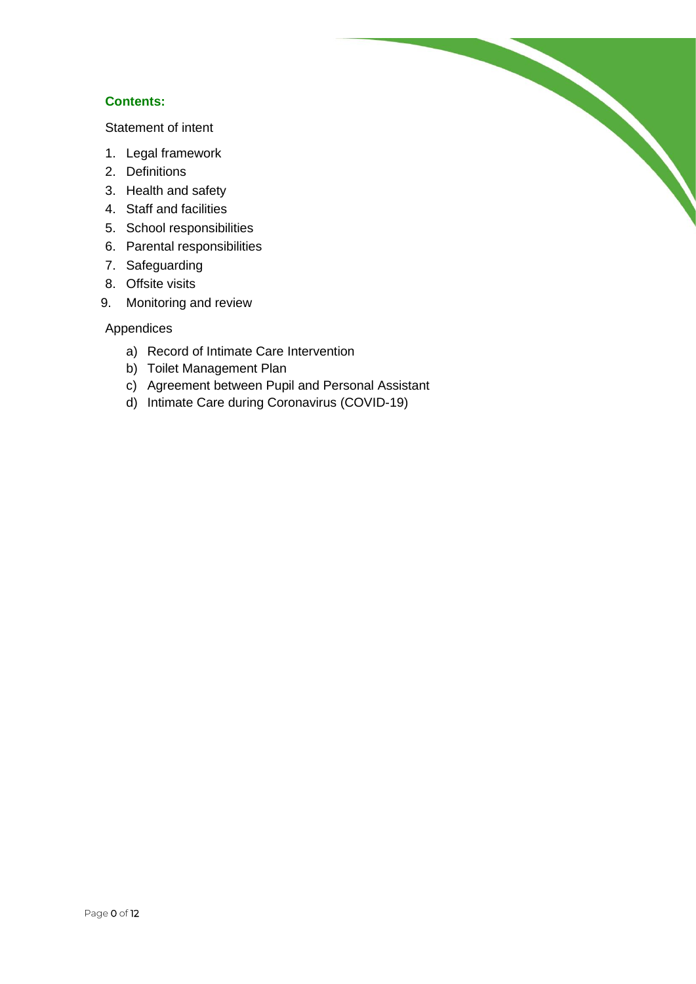#### **Contents:**

[Statement of intent](#page-2-0)

- 1. [Legal framework](#page-3-0)
- 2. [Definitions](#page-3-1)
- 3. [Health and safety](#page-4-0)
- 4. [Staff and facilities](#page-4-1)
- 5. [School responsibilities](#page-5-0)
- 6. [Parental responsibilities](#page-6-0)
- 7. [Safeguarding](#page-6-1)
- 8. [Offsite visits](#page-7-0)
- 9. [Monitoring and review](#page-7-1)

#### Appendices

- a) [Record of Intimate Care Intervention](#page-8-0)
- b) [Toilet Management Plan](#page-8-1)
- c) [Agreement between Pupil and Personal Assistant](#page-9-0)

d) [Intimate Care during Coronavirus \(COVID-19\)](#page-10-0)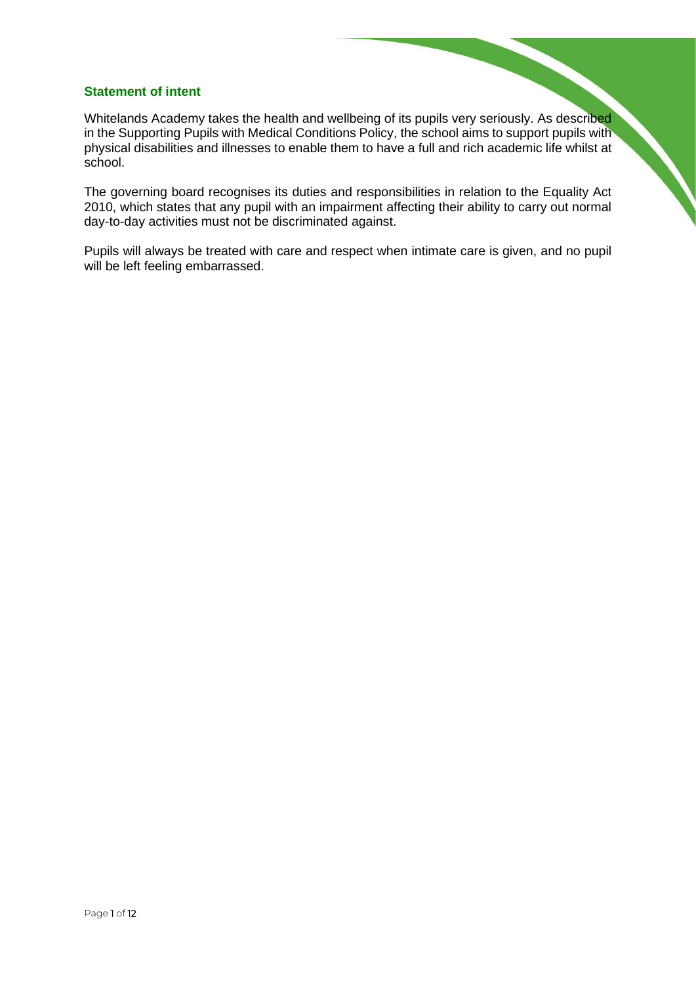#### <span id="page-2-0"></span>**Statement of intent**

Whitelands Academy takes the health and wellbeing of its pupils very seriously. As described in the Supporting Pupils with Medical Conditions Policy, the school aims to support pupils with physical disabilities and illnesses to enable them to have a full and rich academic life whilst at school.

The governing board recognises its duties and responsibilities in relation to the Equality Act 2010, which states that any pupil with an impairment affecting their ability to carry out normal day-to-day activities must not be discriminated against.

Pupils will always be treated with care and respect when intimate care is given, and no pupil will be left feeling embarrassed.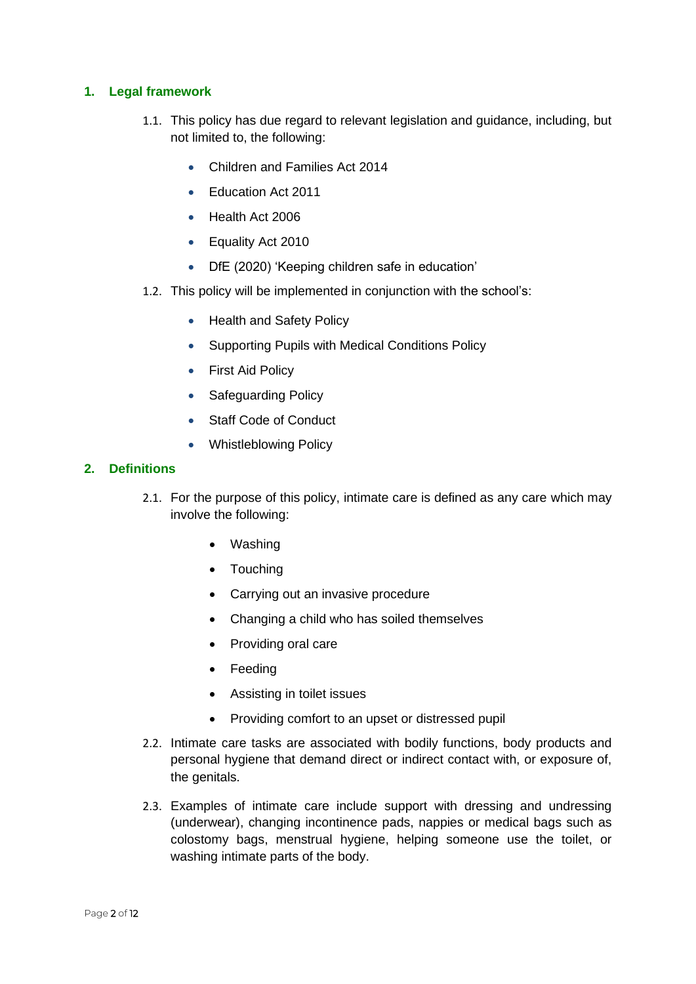#### <span id="page-3-0"></span>**1. Legal framework**

- 1.1. This policy has due regard to relevant legislation and guidance, including, but not limited to, the following:
	- Children and Families Act 2014
	- Fducation Act 2011
	- Health Act 2006
	- Equality Act 2010
	- DfE (2020) 'Keeping children safe in education'
- 1.2. This policy will be implemented in conjunction with the school's:
	- Health and Safety Policy
	- Supporting Pupils with Medical Conditions Policy
	- First Aid Policy
	- Safeguarding Policy
	- Staff Code of Conduct
	- Whistleblowing Policy

#### <span id="page-3-1"></span>**2. Definitions**

- 2.1. For the purpose of this policy, intimate care is defined as any care which may involve the following:
	- Washing
	- Touching
	- Carrying out an invasive procedure
	- Changing a child who has soiled themselves
	- Providing oral care
	- Feeding
	- Assisting in toilet issues
	- Providing comfort to an upset or distressed pupil
- 2.2. Intimate care tasks are associated with bodily functions, body products and personal hygiene that demand direct or indirect contact with, or exposure of, the genitals.
- 2.3. Examples of intimate care include support with dressing and undressing (underwear), changing incontinence pads, nappies or medical bags such as colostomy bags, menstrual hygiene, helping someone use the toilet, or washing intimate parts of the body.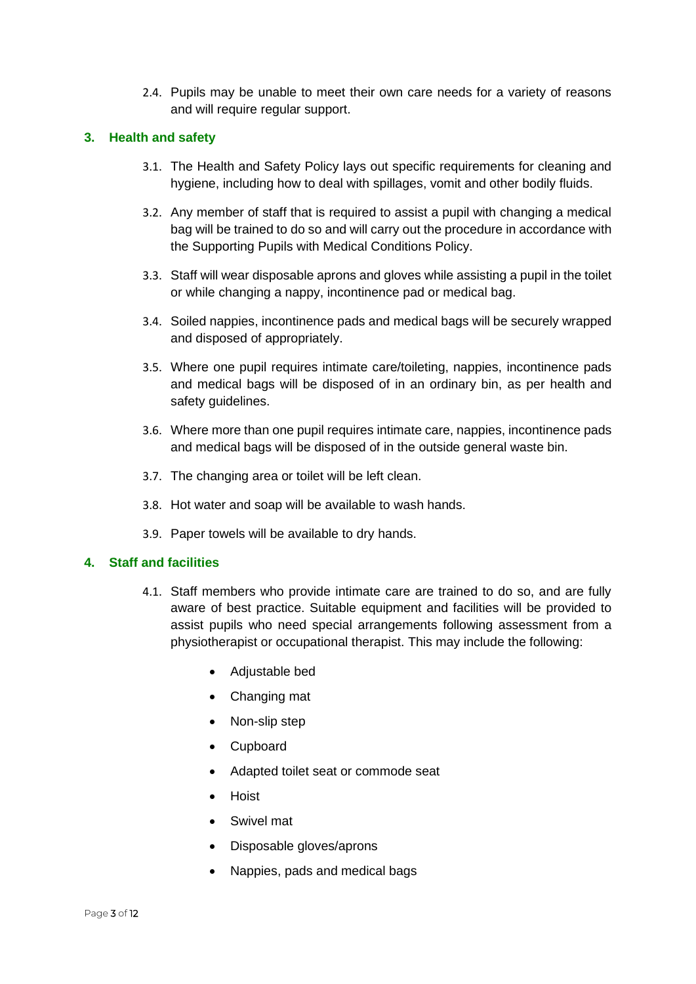2.4. Pupils may be unable to meet their own care needs for a variety of reasons and will require regular support.

#### <span id="page-4-2"></span><span id="page-4-0"></span>**3. Health and safety**

- 3.1. The Health and Safety Policy lays out specific requirements for cleaning and hygiene, including how to deal with spillages, vomit and other bodily fluids.
- 3.2. Any member of staff that is required to assist a pupil with changing a medical bag will be trained to do so and will carry out the procedure in accordance with the Supporting Pupils with Medical Conditions Policy.
- 3.3. Staff will wear disposable aprons and gloves while assisting a pupil in the toilet or while changing a nappy, incontinence pad or medical bag.
- 3.4. Soiled nappies, incontinence pads and medical bags will be securely wrapped and disposed of appropriately.
- 3.5. Where one pupil requires intimate care/toileting, nappies, incontinence pads and medical bags will be disposed of in an ordinary bin, as per health and safety guidelines.
- 3.6. Where more than one pupil requires intimate care, nappies, incontinence pads and medical bags will be disposed of in the outside general waste bin.
- 3.7. The changing area or toilet will be left clean.
- 3.8. Hot water and soap will be available to wash hands.
- 3.9. Paper towels will be available to dry hands.

#### <span id="page-4-1"></span>**4. Staff and facilities**

- 4.1. Staff members who provide intimate care are trained to do so, and are fully aware of best practice. Suitable equipment and facilities will be provided to assist pupils who need special arrangements following assessment from a physiotherapist or occupational therapist. This may include the following:
	- Adjustable bed
	- Changing mat
	- Non-slip step
	- Cupboard
	- Adapted toilet seat or commode seat
	- Hoist
	- Swivel mat
	- Disposable gloves/aprons
	- Nappies, pads and medical bags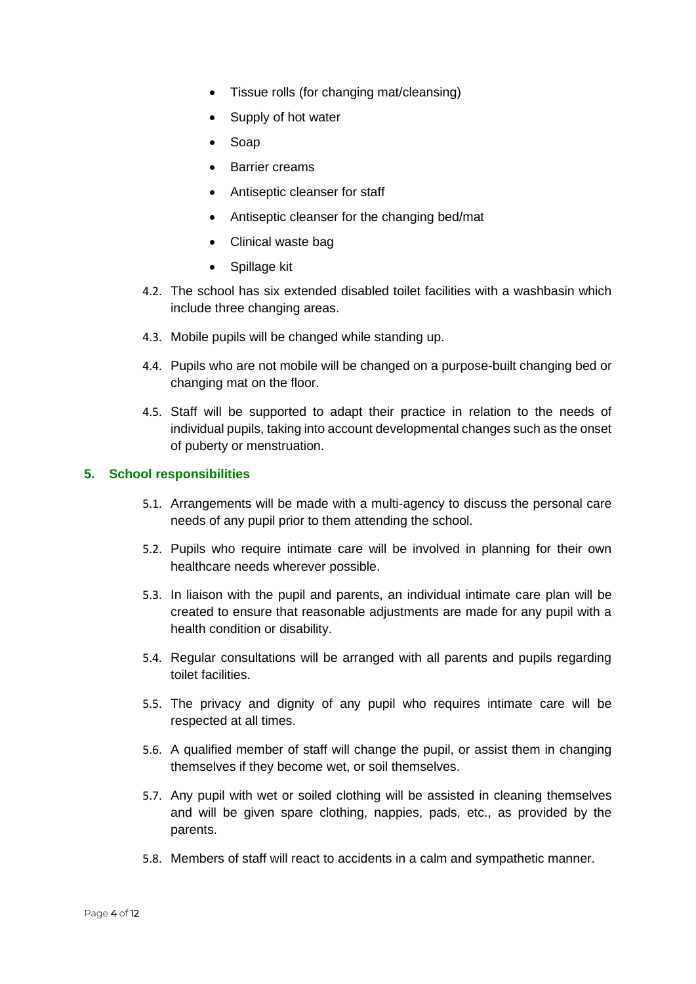- Tissue rolls (for changing mat/cleansing)
- Supply of hot water
- Soap
- Barrier creams
- Antiseptic cleanser for staff
- Antiseptic cleanser for the changing bed/mat
- Clinical waste bag
- Spillage kit
- 4.2. The school has six extended disabled toilet facilities with a washbasin which include three changing areas.
- 4.3. Mobile pupils will be changed while standing up.
- 4.4. Pupils who are not mobile will be changed on a purpose-built changing bed or changing mat on the floor.
- 4.5. Staff will be supported to adapt their practice in relation to the needs of individual pupils, taking into account developmental changes such as the onset of puberty or menstruation.

#### <span id="page-5-0"></span>**5. School responsibilities**

- 5.1. Arrangements will be made with a multi-agency to discuss the personal care needs of any pupil prior to them attending the school.
- 5.2. Pupils who require intimate care will be involved in planning for their own healthcare needs wherever possible.
- 5.3. In liaison with the pupil and parents, an individual intimate care plan will be created to ensure that reasonable adjustments are made for any pupil with a health condition or disability.
- 5.4. Regular consultations will be arranged with all parents and pupils regarding toilet facilities.
- 5.5. The privacy and dignity of any pupil who requires intimate care will be respected at all times.
- 5.6. A qualified member of staff will change the pupil, or assist them in changing themselves if they become wet, or soil themselves.
- 5.7. Any pupil with wet or soiled clothing will be assisted in cleaning themselves and will be given spare clothing, nappies, pads, etc., as provided by the parents.
- 5.8. Members of staff will react to accidents in a calm and sympathetic manner.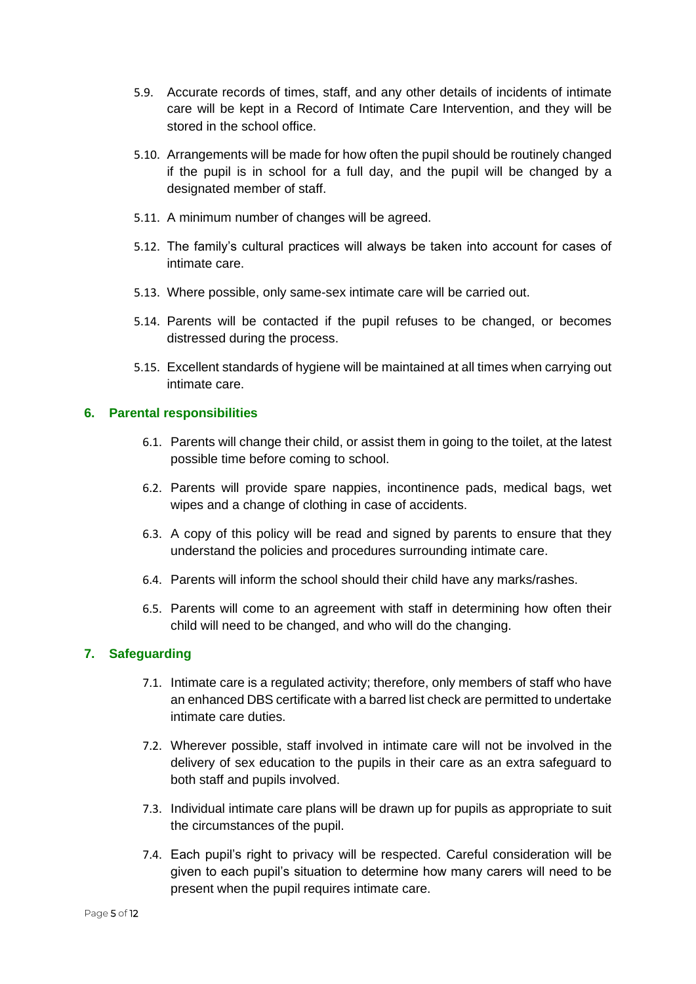- 5.9. Accurate records of times, staff, and any other details of incidents of intimate care will be kept in a [Record of Intimate Care Intervention,](#page-8-0) and they will be stored in the school office.
- 5.10. Arrangements will be made for how often the pupil should be routinely changed if the pupil is in school for a full day, and the pupil will be changed by a designated member of staff.
- 5.11. A minimum number of changes will be agreed.
- 5.12. The family's cultural practices will always be taken into account for cases of intimate care.
- 5.13. Where possible, only same-sex intimate care will be carried out.
- 5.14. Parents will be contacted if the pupil refuses to be changed, or becomes distressed during the process.
- 5.15. Excellent standards of hygiene will be maintained at all times when carrying out intimate care.

#### <span id="page-6-0"></span>**6. Parental responsibilities**

- 6.1. Parents will change their child, or assist them in going to the toilet, at the latest possible time before coming to school.
- 6.2. Parents will provide spare nappies, incontinence pads, medical bags, wet wipes and a change of clothing in case of accidents.
- 6.3. A copy of this policy will be read and signed by parents to ensure that they understand the policies and procedures surrounding intimate care.
- 6.4. Parents will inform the school should their child have any marks/rashes.
- 6.5. Parents will come to an agreement with staff in determining how often their child will need to be changed, and who will do the changing.

#### <span id="page-6-1"></span>**7. Safeguarding**

- 7.1. Intimate care is a regulated activity; therefore, only members of staff who have an enhanced DBS certificate with a barred list check are permitted to undertake intimate care duties.
- 7.2. Wherever possible, staff involved in intimate care will not be involved in the delivery of sex education to the pupils in their care as an extra safeguard to both staff and pupils involved.
- 7.3. Individual intimate care plans will be drawn up for pupils as appropriate to suit the circumstances of the pupil.
- 7.4. Each pupil's right to privacy will be respected. Careful consideration will be given to each pupil's situation to determine how many carers will need to be present when the pupil requires intimate care.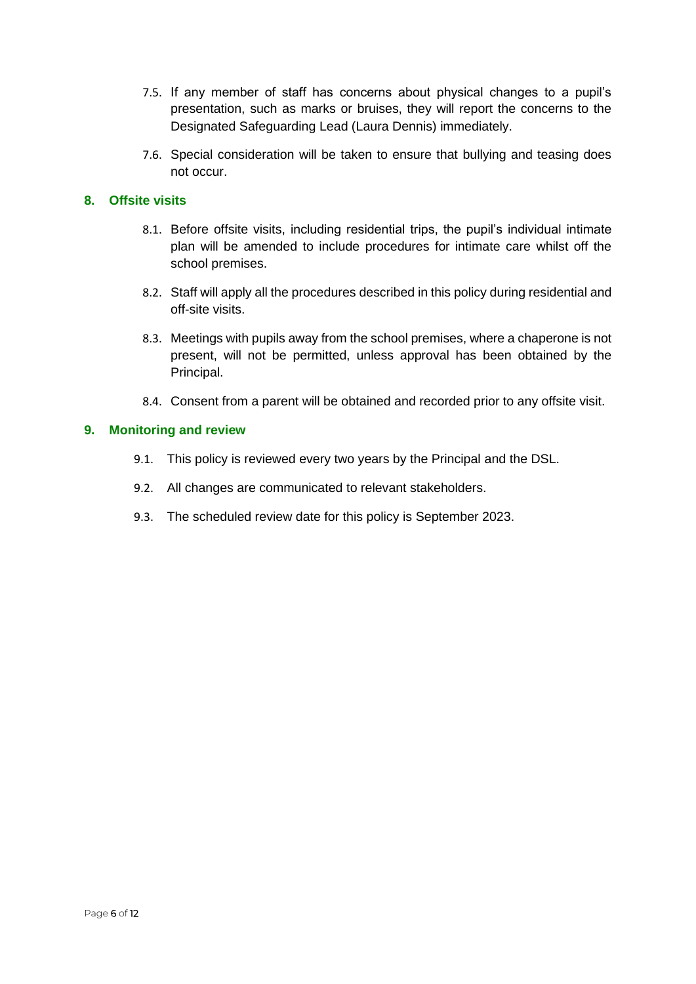- 7.5. If any member of staff has concerns about physical changes to a pupil's presentation, such as marks or bruises, they will report the concerns to the Designated Safeguarding Lead (Laura Dennis) immediately.
- 7.6. Special consideration will be taken to ensure that bullying and teasing does not occur.

#### <span id="page-7-0"></span>**8. Offsite visits**

- 8.1. Before offsite visits, including residential trips, the pupil's individual intimate plan will be amended to include procedures for intimate care whilst off the school premises.
- 8.2. Staff will apply all the procedures described in this policy during residential and off-site visits.
- 8.3. Meetings with pupils away from the school premises, where a chaperone is not present, will not be permitted, unless approval has been obtained by the Principal.
- 8.4. Consent from a parent will be obtained and recorded prior to any offsite visit.

#### <span id="page-7-1"></span>**9. Monitoring and review**

- 9.1. This policy is reviewed every two years by the Principal and the DSL.
- 9.2. All changes are communicated to relevant stakeholders.
- 9.3. The scheduled review date for this policy is September 2023.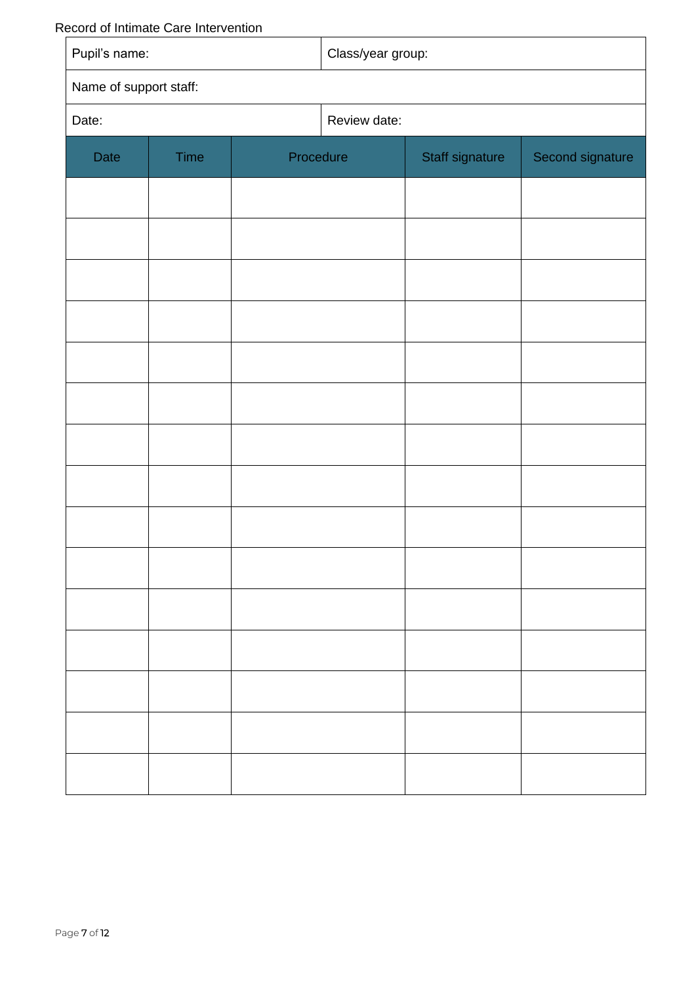<span id="page-8-0"></span>Record of Intimate Care Intervention

<span id="page-8-1"></span>

| coord of mumque bare intervention<br>Pupil's name: |      | Class/year group: |              |                 |                  |
|----------------------------------------------------|------|-------------------|--------------|-----------------|------------------|
| Name of support staff:                             |      |                   |              |                 |                  |
| Date:                                              |      |                   | Review date: |                 |                  |
| Date                                               | Time | Procedure         |              | Staff signature | Second signature |
|                                                    |      |                   |              |                 |                  |
|                                                    |      |                   |              |                 |                  |
|                                                    |      |                   |              |                 |                  |
|                                                    |      |                   |              |                 |                  |
|                                                    |      |                   |              |                 |                  |
|                                                    |      |                   |              |                 |                  |
|                                                    |      |                   |              |                 |                  |
|                                                    |      |                   |              |                 |                  |
|                                                    |      |                   |              |                 |                  |
|                                                    |      |                   |              |                 |                  |
|                                                    |      |                   |              |                 |                  |
|                                                    |      |                   |              |                 |                  |
|                                                    |      |                   |              |                 |                  |
|                                                    |      |                   |              |                 |                  |
|                                                    |      |                   |              |                 |                  |
|                                                    |      |                   |              |                 |                  |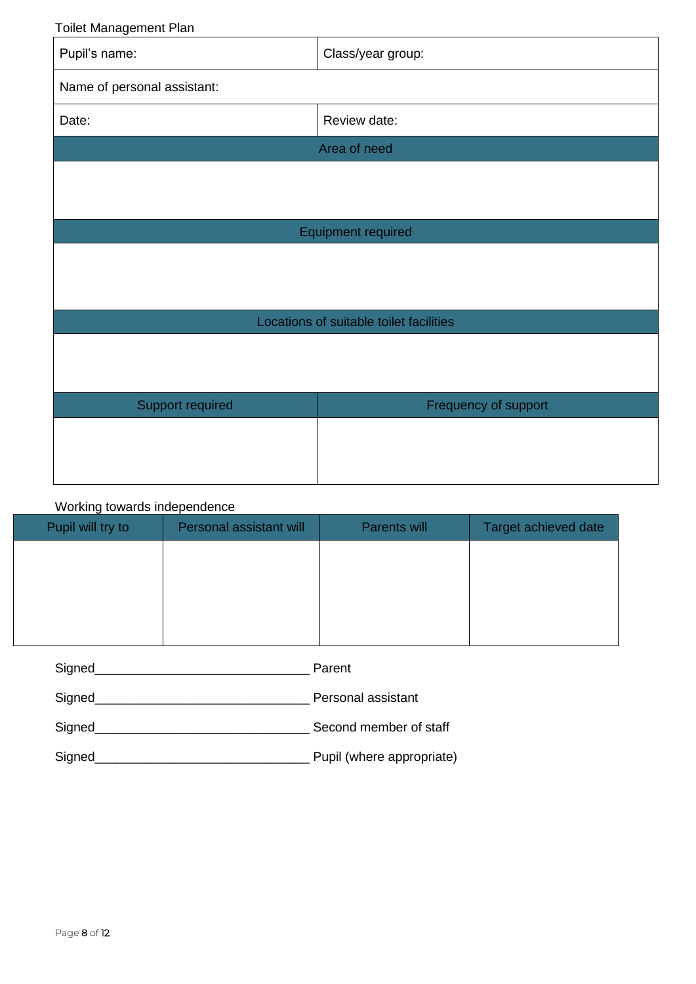Toilet Management Plan

| Pupil's name:                           | Class/year group:    |  |  |
|-----------------------------------------|----------------------|--|--|
| Name of personal assistant:             |                      |  |  |
| Date:                                   | Review date:         |  |  |
|                                         | Area of need         |  |  |
|                                         |                      |  |  |
|                                         |                      |  |  |
|                                         | Equipment required   |  |  |
|                                         |                      |  |  |
|                                         |                      |  |  |
| Locations of suitable toilet facilities |                      |  |  |
|                                         |                      |  |  |
|                                         |                      |  |  |
| Support required                        | Frequency of support |  |  |
|                                         |                      |  |  |
|                                         |                      |  |  |
|                                         |                      |  |  |

### Working towards independence

| Pupil will try to | Personal assistant will | Parents will | Target achieved date |
|-------------------|-------------------------|--------------|----------------------|
|                   |                         |              |                      |
|                   |                         |              |                      |
|                   |                         |              |                      |
|                   |                         |              |                      |

<span id="page-9-0"></span>

| Signed | Parent                    |
|--------|---------------------------|
| Signed | Personal assistant        |
| Signed | Second member of staff    |
| Signed | Pupil (where appropriate) |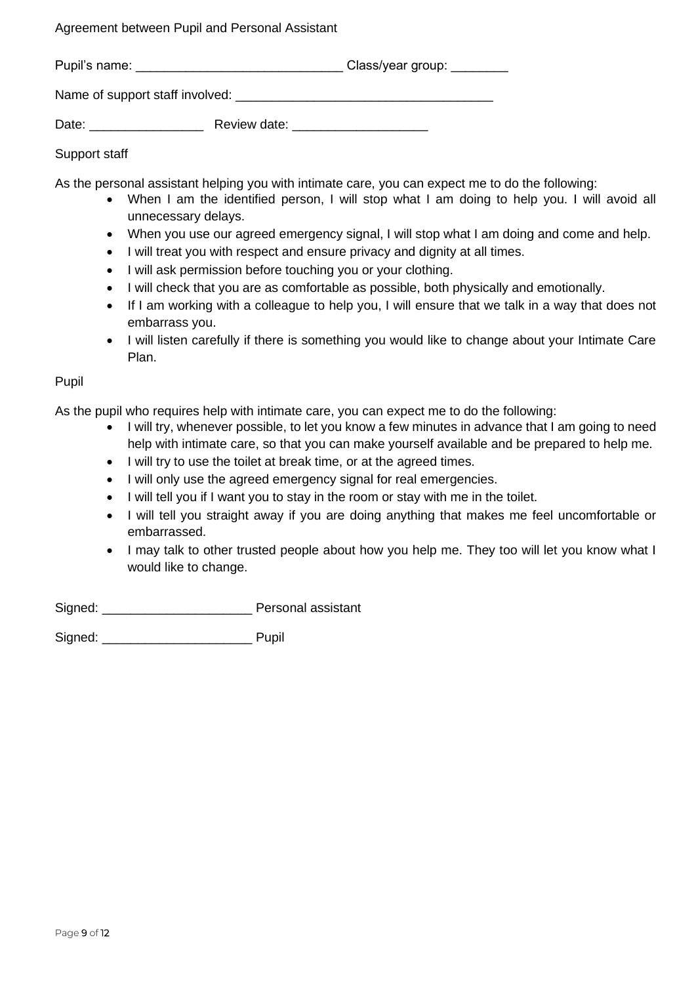Agreement between Pupil and Personal Assistant

| Pupil's name: |                                 | Class/year group: |  |
|---------------|---------------------------------|-------------------|--|
|               | Name of support staff involved: |                   |  |
| Date:         | Review date:                    |                   |  |

#### Support staff

As the personal assistant helping you with intimate care, you can expect me to do the following:

- When I am the identified person, I will stop what I am doing to help you. I will avoid all unnecessary delays.
- When you use our agreed emergency signal, I will stop what I am doing and come and help.
- I will treat you with respect and ensure privacy and dignity at all times.
- I will ask permission before touching you or your clothing.
- I will check that you are as comfortable as possible, both physically and emotionally.
- If I am working with a colleague to help you, I will ensure that we talk in a way that does not embarrass you.
- I will listen carefully if there is something you would like to change about your Intimate Care Plan.

Pupil

As the pupil who requires help with intimate care, you can expect me to do the following:

- I will try, whenever possible, to let you know a few minutes in advance that I am going to need help with intimate care, so that you can make yourself available and be prepared to help me.
- I will try to use the toilet at break time, or at the agreed times.
- I will only use the agreed emergency signal for real emergencies.
- I will tell you if I want you to stay in the room or stay with me in the toilet.
- I will tell you straight away if you are doing anything that makes me feel uncomfortable or embarrassed.
- I may talk to other trusted people about how you help me. They too will let you know what I would like to change.

Signed: **Signed: Signed: Personal assistant** 

<span id="page-10-0"></span>Signed: **We can also contained:** Pupil